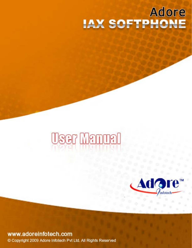# **Adore IAX SOFTPHONE**

# User Manual



# www.adoreinfotech.com

Copyright 2009 Adore Infotech Pvt Ltd. All Rights Reserved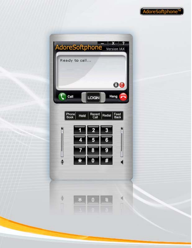

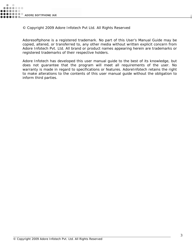© Copyright 2009 Adore Infotech Pvt Ltd. All Rights Reserved

Adoresoftphone is a registered trademark. No part of this User's Manual Guide may be copied, altered, or transferred to, any other media without written explicit concern from Adore Infotech Pvt. Ltd. All brand or product names appearing herein are trademarks or registered trademarks of their respective holders.

Adore Infotech has developed this user manual guide to the best of its knowledge, but does not guarantee that the program will meet all requirements of the user. No warranty is made in regard to specifications or features. AdoreInfotech retains the right to make alterations to the contents of this user manual guide without the obligation to inform third parties.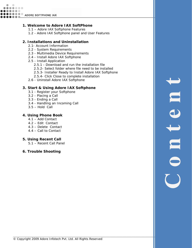#### **1. Welcome to Adore IAX SoftPhone**

- 1.1 Adore IAX Softphone Features
- 1.2 Adore IAX Softphone panel and User Features

#### **2. Installations and Uninstallation**

- 2.1- Account Information
- 2.2 System Requirements
- 2.3 Multimedia Device Requirements
- 2.4 Install Adore IAX Softphone
- 2.5 Install Application
	- 2.5.1 Download and run the installation file
	- 2.5.2- Select folder where file need to be installed
	- 2.5.3- Installer Ready to Install Adore IAX Softphone
	- 2.5.4- Click Close to complete installation
- 2.6 Uninstall Adore IAX Softphone

#### **3. Start & Using Adore IAX Softphone**

- 3.1 Register your Softphone
- 3.2 Placing a Call
- 3.3 Ending a Call
- 3.4 Handling an Incoming Call
- 3.5 Hold Call

#### **4. Using Phone Book**

- 4.1 Add Contact
- 4.2 Edit Contact
- 4.3 Delete Contact
- 4.4 Call to Contact

#### **5. Using Recent Call**

- 5.1 Recent Call Panel
- **6. Trouble Shooting**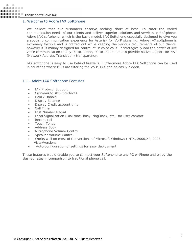......

#### 1. Welcome to Adore IAX Softphone

We believe that our customers deserve nothing short of best. To cater the varied communication needs of our clients and deliver superior solutions and services in Softphone. Adore IAX softphone, which is the basic model, IAX Softphone especially designed to give you a soothing communication experience for Asterisk for VoIP signaling. Adore IAX softphone is extremely flexible and is crafted out while keeping the various requirements of our clients, however it is mainly designed for control of IP voice calls. It strategically add the power of live voice communication to any PC-to-Phone, PC-to-PC and and to provide native support for NAT (Network Address Translation) transparency.

IAX softphone is easy to use behind firewalls. Furthermore Adore IAX Softphone can be used in countries where ISPs are filtering the VoIP, IAX can be easily hidden.

#### 1.1– Adore IAX Softphone Features

- IAX Protocol Support
- Customized skin interfaces
- Hold / Unhold
- Display Balance
- Display Credit account time
- Call Timer
- Last Number Redial
- Local Signalization (Dial tone, busy, ring back, etc.) for user comfort
- Recent call
- Touch-Tones
- Address Book
- Microphone Volume Control
- Speaker Volume Control
- Works well on most of the versions of Microsoft Windows ( NT4, 2000,XP, 2003, Vista)Versions
- Auto-configuration of settings for easy deployment

These features would enable you to connect your Softphone to any PC or Phone and enjoy the slashed rates in comparison to traditional phone call.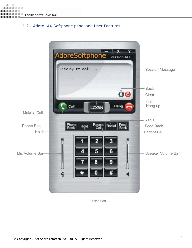#### 1.2 - Adore IAX Softphone panel and User Features

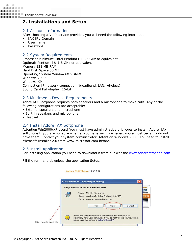......

## **2. Installations and Setup**

#### 2.1 Account Information

After choosing a VoIP service provider, you will need the following information

- IAX IP / Domain
- User name
- Password

#### 2.2 System Requirements

Processor Minimum: Intel Pentium III 1.3 GHz or equivalent Optimal: Pentium 4® 1.8 GHz or equivalent Memory 128 MB RAM Hard Disk Space 50 MB Operating System Windows® Vista® Windows 2000 Windows XP Connection IP network connection (broadband, LAN, wireless) Sound Card Full-duplex, 16-bit

#### 2.3 Multimedia Device Requirements

Adore IAX Softphone requires both speakers and a microphone to make calls. Any of the following configurations are acceptable:

- External speakers and microphone
- Built-in speakers and microphone
- Headset

#### 2.4 Install Adore IAX Softphone

Attention Win2000/XP users! You must have administrative privileges to install Adore IAX softphone If you are not sure whether you have such privileges, you almost certainly do not have them. Contact your system administrator. Attention Windows 2000! You need to install Microsoft Installer 2.0 from www.microsoft.com before.

#### 2.5 Install Application

For installing application you need to download it from our website [www.adoresoftphone.com](http://www.adoresoftphone.com/)

Fill the form and download the application Setup.



#### Adore SoftPhone LAX 1.0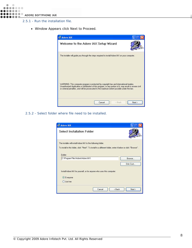- 2.5.1 Run the installation file.
	- Window Appears click Next to Proceed.



2.5.2 - Select folder where file need to be installed.

| <b>Select Installation Folder</b>                                                                                                                                             |           |
|-------------------------------------------------------------------------------------------------------------------------------------------------------------------------------|-----------|
| The installer will install Adore IAX to the following folder.<br>To install in this folder, click "Next". To install to a different folder, enter it below or click "Browse". |           |
| Folder:<br>C:\Program Files\Adore\Adore IAX\                                                                                                                                  |           |
|                                                                                                                                                                               | Browse    |
|                                                                                                                                                                               | Disk Cost |
|                                                                                                                                                                               |           |
| Install Adore IAX for yourself, or for anyone who uses this computer:                                                                                                         |           |
| <b>Everyone</b>                                                                                                                                                               |           |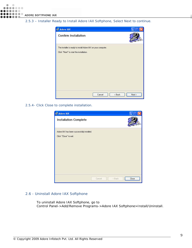#### 2.5.3 – Installer Ready to Install Adore IAX Softphone, Select Next to continue.

| <b>IN Adore IAX</b>                                           |        |        |        |
|---------------------------------------------------------------|--------|--------|--------|
| <b>Confirm Installation</b>                                   |        |        |        |
| The installer is ready to install Adore IAX on your computer. |        |        |        |
| Click "Next" to start the installation.                       |        |        |        |
|                                                               |        |        |        |
|                                                               |        |        |        |
|                                                               |        |        |        |
|                                                               |        |        |        |
|                                                               |        |        |        |
|                                                               |        |        |        |
|                                                               |        |        |        |
|                                                               | Cancel | < Back | Next > |

2.5.4- Click Close to complete installation.

| <b>IN Adore IAX</b>                        |        |                                     |       |
|--------------------------------------------|--------|-------------------------------------|-------|
| <b>Installation Complete</b>               |        |                                     |       |
| Adore IAX has been successfully installed. |        |                                     |       |
| Click "Close" to exit.                     |        |                                     |       |
|                                            |        |                                     |       |
|                                            |        |                                     |       |
|                                            |        |                                     |       |
|                                            |        |                                     |       |
|                                            |        |                                     |       |
|                                            |        |                                     |       |
|                                            |        |                                     |       |
|                                            | Cancel | <back< td=""><td>Close</td></back<> | Close |
|                                            |        |                                     |       |

#### 2.6 - Uninstall Adore IAX Softphone

To uninstall Adore IAX Softphone, go to *Control Panel->Add/Remove Programs->Adore IAX Softphone>Install/Uninstall.*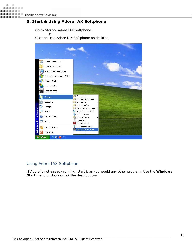$\bullet\bullet\bullet\bullet$  $\bullet\bullet\circ$ ADORE SOFTPHONE IAX

#### **3. Start & Using Adore IAX Softphone**

Go to Start-> Adore IAX Softphone.

Or

Click on Icon Adore IAX Softphone on desktop



#### Using Adore IAX Softphone

If Adore is not already running, start it as you would any other program: Use the **Windows Start** menu or double-click the desktop icon.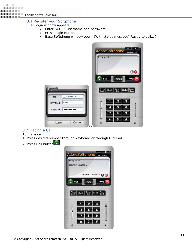#### **OOOOO** ADORE SOFTPHONE IAX . . .

Ö .......  $\bullet\bullet\circ$ 

#### 3.1 Register your Softphone

- 1. Login window appears
	- Enter IAX IP, Username and password.
	- Press Login Button
	- Base Softphone window open. (With status message" Ready to call…")



#### 3.2 Placing a Call

To make call

- 1. Press desired number through keyboard or through Dial Pad
- 2. Press Call button

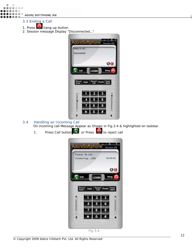**OOOO** ADORE SOFTPHONE IAX

#### 3.3 Ending a Call

 $\ddot{\phantom{a}}$  $\bullet$ 

 $\bullet\bullet\bullet\bullet$  $\bullet$   $\bullet$ 

- 1. Press **hang-up button.**
- 2. Session message Display "Disconnected…"



3.4 Handling an Incoming Call

On incoming call Message Appear as Shown in Fig.3.4 & highlighted on taskbar<br>1. Press Call button or Press<br>1.

1. Press Call button **the real called** or Press

|               | AdoreSoftphone version IAX   |                |        |                     |
|---------------|------------------------------|----------------|--------|---------------------|
|               | Ready to call<br>Incoming100 |                |        | 00:00:00            |
|               |                              |                |        | 00                  |
| Call          |                              | LOGIN          | Hang   |                     |
| Phone<br>Book | Hold                         | Recent<br>Call | Redial | Feed<br><b>Back</b> |
|               |                              |                | 3      |                     |
|               | 4                            | 5<br>8         | 6      |                     |
|               |                              |                |        |                     |

\_\_\_\_\_\_\_\_\_\_\_\_\_\_\_\_\_\_\_\_\_\_\_\_\_\_\_\_\_\_\_\_\_\_\_\_\_\_\_\_\_\_\_\_\_\_\_\_\_\_\_\_\_\_\_\_\_\_\_\_\_\_\_\_\_\_\_\_\_\_\_\_\_\_\_\_\_\_\_\_\_\_\_\_\_\_\_\_\_\_\_\_\_\_\_\_\_\_\_\_\_\_\_\_\_\_\_\_\_\_\_\_\_ Fig 3.4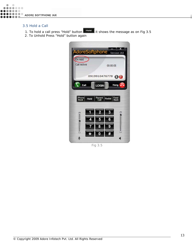#### 3.5 Hold a Call

- 1. To hold a call press "Hold" button **Hold** it shows the message as on Fig 3.5
- 2. To Unhold Press "Hold" button again



Fig 3.5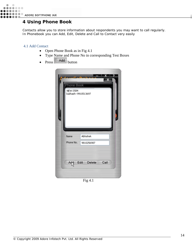

## **4 Using Phone Book**

Contacts allow you to store information about respondents you may want to call regularly. In Phonebook you can Add, Edit, Delete and Call to Contact very easily

#### 4.1 Add Contact

- Open Phone Book as in Fig 4.1
- Type Name and Phone No in corresponding Test Boxes
- Press Add button



Fig 4.1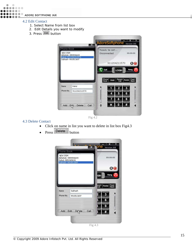$0.0.0.0.0.0.0$  $\bullet\bullet\bullet\circ$ **O D D D D**<br>A D D D D ADORE SOFTPHONE IAX  $\bullet\bullet\bullet\bullet$ 

 $\ddot{\phantom{a}}$  $\bullet$ 

#### 4.2 Edit Contact

- 1. Select Name from list box
- 2. Edit Details you want to modify
- 3. Press Edit button



#### 4.3 Delete Contact

- Click on name in list you want to delete in list box Fig4.3
- $\bullet$  Press Delete button

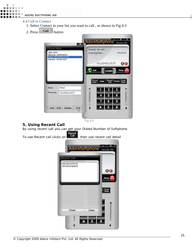

- 1. Select Contact in your list you want to call , as shown in Fig 4.3
- 2. Press Call button



Fig 4.4

#### **5. Using Recent Call**

By using recent call you can get your Dialed Number of Softphone